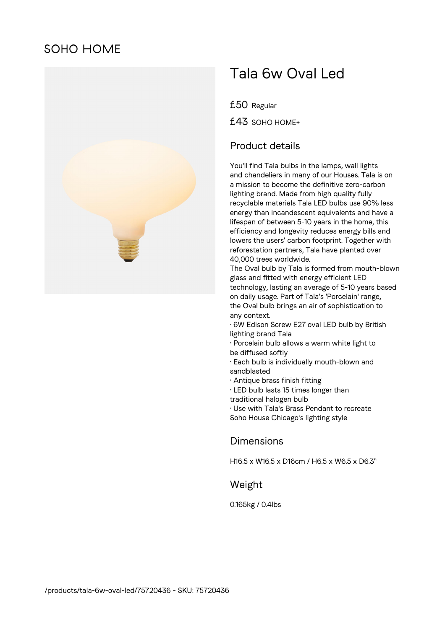# **SOHO HOME**



# Tala 6w Oval Led

£50 Regular

£43 SOHO HOME+

### Product details

You'll find Tala bulbs in the lamps, wall lights and chandeliers in many of our Houses. Tala is on a mission to become the definitive zero-carbon lighting brand. Made from high quality fully recyclable materials Tala LED bulbs use 90% less energy than incandescent equivalents and have a lifespan of between 5-10 years in the home, this efficiency and longevity reduces energy bills and lowers the users' carbon footprint. Together with reforestation partners, Tala have planted over 40,000 trees worldwide.

The Oval bulb by Tala is formed from mouth-blown glass and fitted with energy efficient LED technology, lasting an average of 5-10 years based on daily usage. Part of Tala's 'Porcelain' range, the Oval bulb brings an air of sophistication to any context.

• 6W Edison Screw E27 oval LED bulb by British lighting brand Tala

• Porcelain bulb allows a warm white light to be diffused softly

• Each bulb is individually mouth-blown and sandblasted

- Antique brass finish fitting
- LED bulb lasts 15 times longer than
- traditional halogen bulb

• Use with Tala's Brass Pendant to recreate Soho House Chicago's lighting style

#### Dimensions

H16.5 x W16.5 x D16cm / H6.5 x W6.5 x D6.3"

#### Weight

0.165kg / 0.4lbs